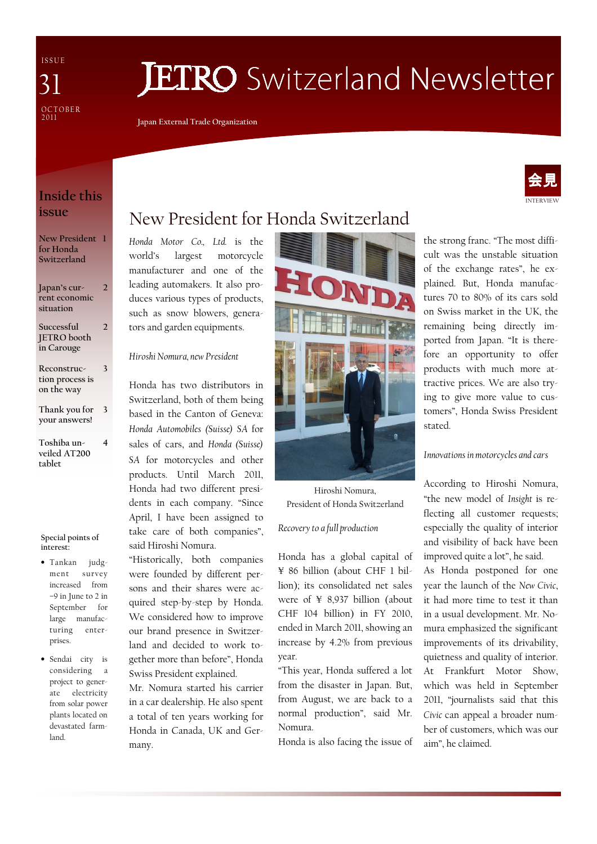I S S U E **OCTOBER**  $2011$ 31

# **JETRO** Switzerland Newsletter

Japan External Trade Organization

## INTERVIEW 会見

## Inside this issue

New President 1 for Honda Switzerland

Japan's current economic situation 2

- Successful JETRO booth in Carouge  $\overline{2}$
- Reconstruction process is on the way 3
- Thank you for 3 your answers!
- Toshiba unveiled AT200 tablet 4

#### Special points of interest:

- Tankan judgment survey increased from –9 in June to 2 in September for large manufacturing enterprises.
- Sendai city is considering a project to generate electricity from solar power plants located on devastated farmland.

# New President for Honda Switzerland

Honda Motor Co., Ltd. is the world's largest motorcycle manufacturer and one of the leading automakers. It also produces various types of products, such as snow blowers, generators and garden equipments.

## Hiroshi Nomura, new President

Honda has two distributors in Switzerland, both of them being based in the Canton of Geneva: Honda Automobiles (Suisse) SA for sales of cars, and Honda (Suisse) SA for motorcycles and other products. Until March 2011, Honda had two different presidents in each company. "Since April, I have been assigned to take care of both companies", said Hiroshi Nomura.

"Historically, both companies were founded by different persons and their shares were acquired step-by-step by Honda. We considered how to improve our brand presence in Switzerland and decided to work together more than before", Honda Swiss President explained.

Mr. Nomura started his carrier in a car dealership. He also spent a total of ten years working for Honda in Canada, UK and Germany.



Hiroshi Nomura, President of Honda Switzerland

## Recovery to a full production

Honda has a global capital of ¥ 86 billion (about CHF 1 billion); its consolidated net sales were of ¥ 8,937 billion (about CHF 104 billion) in FY 2010, ended in March 2011, showing an increase by 4.2% from previous year.

"This year, Honda suffered a lot from the disaster in Japan. But, from August, we are back to a normal production", said Mr. Nomura.

Honda is also facing the issue of

the strong franc. "The most difficult was the unstable situation of the exchange rates", he explained. But, Honda manufactures 70 to 80% of its cars sold on Swiss market in the UK, the remaining being directly imported from Japan. "It is therefore an opportunity to offer products with much more attractive prices. We are also trying to give more value to customers", Honda Swiss President stated.

#### Innovations in motorcycles and cars

According to Hiroshi Nomura, "the new model of Insight is reflecting all customer requests; especially the quality of interior and visibility of back have been improved quite a lot", he said.

As Honda postponed for one year the launch of the New Civic, it had more time to test it than in a usual development. Mr. Nomura emphasized the significant improvements of its drivability, quietness and quality of interior. At Frankfurt Motor Show, which was held in September 2011, "journalists said that this Civic can appeal a broader number of customers, which was our aim", he claimed.

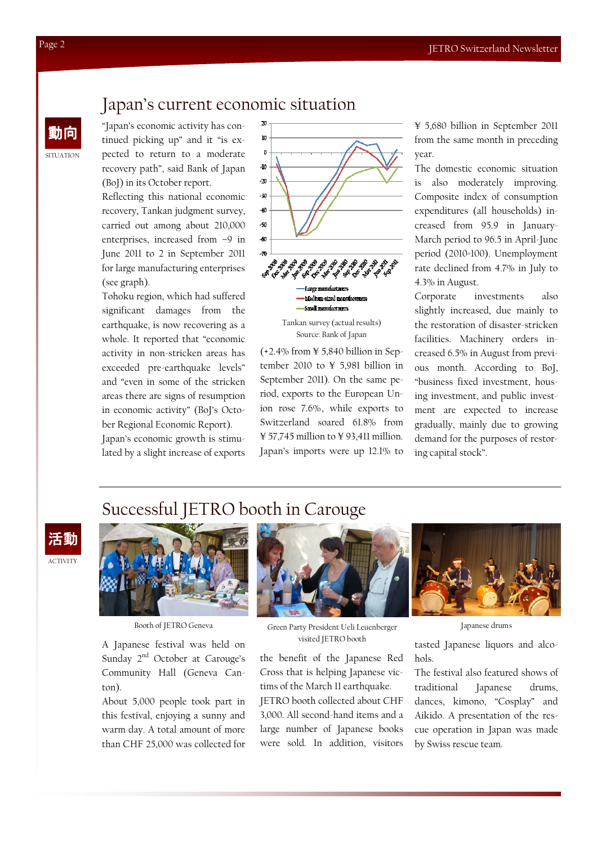## Japan's current economic situation

"Japan's economic activity has continued picking up" and it "is expected to return to a moderate recovery path", said Bank of Japan (BoJ) in its October report.

Reflecting this national economic recovery, Tankan judgment survey, carried out among about 210,000 enterprises, increased from –9 in June 2011 to 2 in September 2011 for large manufacturing enterprises (see graph).

Tohoku region, which had suffered significant damages from the earthquake, is now recovering as a whole. It reported that "economic activity in non-stricken areas has exceeded pre-earthquake levels" and "even in some of the stricken areas there are signs of resumption in economic activity" (BoJ's October Regional Economic Report). Japan's economic growth is stimu-

lated by a slight increase of exports



Tankan survey (actual results) Source: Bank of Japan

-Amall manufacturers

 $(+2.4\%$  from  $\yen$  5,840 billion in September 2010 to ¥ 5,981 billion in September 2011). On the same period, exports to the European Union rose 7.6%, while exports to Switzerland soared 61.8% from  $\frac{1}{2}$  57,745 million to  $\frac{1}{2}$  93,411 million. Japan's imports were up 12.1% to

¥ 5,680 billion in September 2011 from the same month in preceding year.

The domestic economic situation is also moderately improving. Composite index of consumption expenditures (all households) increased from 95.9 in January-March period to 96.5 in April-June period (2010=100). Unemployment rate declined from 4.7% in July to 4.3% in August.

Corporate investments also slightly increased, due mainly to the restoration of disaster-stricken facilities. Machinery orders increased 6.5% in August from previous month. According to BoJ, "business fixed investment, housing investment, and public investment are expected to increase gradually, mainly due to growing demand for the purposes of restoring capital stock".

## Successful JETRO booth in Carouge

ACTIVITY 活動



A Japanese festival was held on Sunday 2<sup>nd</sup> October at Carouge's Community Hall (Geneva Canton).

About 5,000 people took part in this festival, enjoying a sunny and warm day. A total amount of more than CHF 25,000 was collected for



Booth of JETRO Geneva Japanese drums Green Party President Ueli Leuenberger visited JETRO booth

the benefit of the Japanese Red Cross that is helping Japanese victims of the March 11 earthquake. JETRO booth collected about CHF 3,000. All second-hand items and a large number of Japanese books were sold. In addition visitors

tasted Japanese liquors and alcohols.

The festival also featured shows of traditional Japanese drums, dances, kimono, "Cosplay" and Aikido. A presentation of the rescue operation in Japan was made by Swiss rescue team.

SITUATION

動向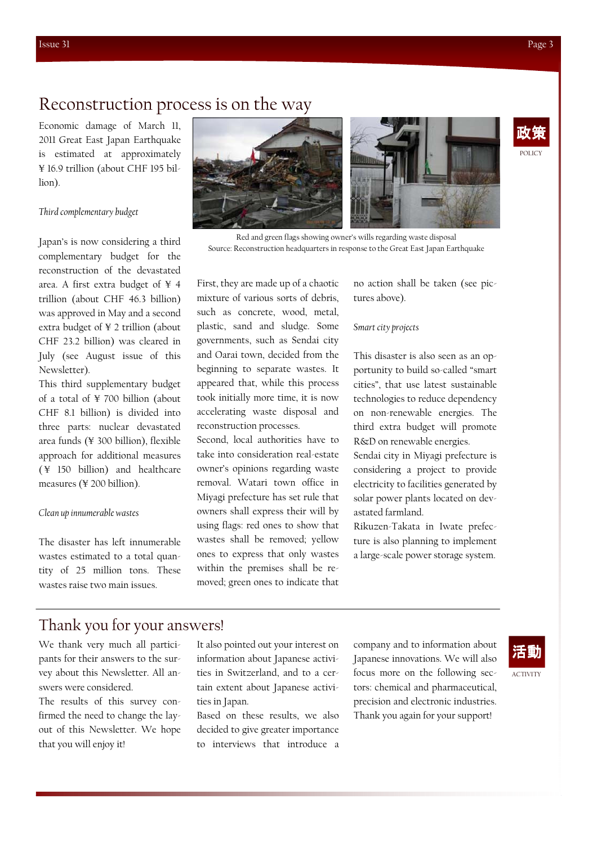POLICY 政策

## Reconstruction process is on the way

Economic damage of March 11, 2011 Great East Japan Earthquake is estimated at approximately ¥ 16.9 trillion (about CHF 195 billion).

#### Third complementary budget

Japan's is now considering a third complementary budget for the reconstruction of the devastated area. A first extra budget of ¥ 4 trillion (about CHF 46.3 billion) was approved in May and a second extra budget of ¥ 2 trillion (about CHF 23.2 billion) was cleared in July (see August issue of this Newsletter).

This third supplementary budget of a total of ¥ 700 billion (about CHF 8.1 billion) is divided into three parts: nuclear devastated area funds (¥ 300 billion), flexible approach for additional measures ( ¥ 150 billion) and healthcare measures (¥ 200 billion).

#### Clean up innumerable wastes

The disaster has left innumerable wastes estimated to a total quantity of 25 million tons. These wastes raise two main issues.



Red and green flags showing owner's wills regarding waste disposal Source: Reconstruction headquarters in response to the Great East Japan Earthquake

First, they are made up of a chaotic mixture of various sorts of debris, such as concrete, wood, metal, plastic, sand and sludge. Some governments, such as Sendai city and Oarai town, decided from the beginning to separate wastes. It appeared that, while this process took initially more time, it is now accelerating waste disposal and reconstruction processes.

Second, local authorities have to take into consideration real-estate owner's opinions regarding waste removal. Watari town office in Miyagi prefecture has set rule that owners shall express their will by using flags: red ones to show that wastes shall be removed; yellow ones to express that only wastes within the premises shall be removed; green ones to indicate that

no action shall be taken (see pictures above).

#### Smart city projects

This disaster is also seen as an opportunity to build so-called "smart cities", that use latest sustainable technologies to reduce dependency on non-renewable energies. The third extra budget will promote R&D on renewable energies.

Sendai city in Miyagi prefecture is considering a project to provide electricity to facilities generated by solar power plants located on devastated farmland.

Rikuzen-Takata in Iwate prefecture is also planning to implement a large-scale power storage system.

## Thank you for your answers!

We thank very much all participants for their answers to the survey about this Newsletter. All answers were considered.

The results of this survey confirmed the need to change the layout of this Newsletter. We hope that you will enjoy it!

It also pointed out your interest on information about Japanese activities in Switzerland, and to a certain extent about Japanese activities in Japan.

Based on these results, we also decided to give greater importance to interviews that introduce a

company and to information about Japanese innovations. We will also focus more on the following sectors: chemical and pharmaceutical, precision and electronic industries. Thank you again for your support!



ACTIVITY